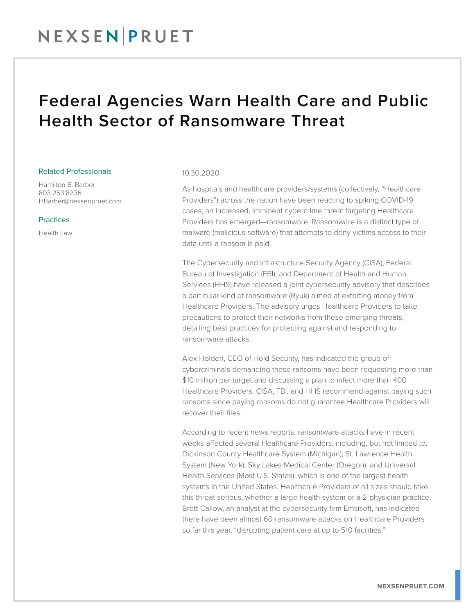## NEXSENPRUET

### Federal Agencies Warn Health Care and Public Health Sector of Ransomware Threat

#### Related Professionals

Hamilton B. Barber 803.253.8236 HBarber@nexsenpruet.com

#### Practices

Health Law

#### 10.30.2020

As hospitals and healthcare providers/systems (collectively, "Healthcare Providers") across the nation have been reacting to spiking COVID-19 cases, an increased, imminent cybercrime threat targeting Healthcare Providers has emerged—ransomware. Ransomware is a distinct type of malware (malicious software) that attempts to deny victims access to their data until a ransom is paid.

The Cybersecurity and Infrastructure Security Agency (CISA), Federal Bureau of Investigation (FBI), and Department of Health and Human Services (HHS) have released a joint cybersecurity advisory that describes a particular kind of ransomware (Ryuk) aimed at extorting money from Healthcare Providers. The advisory urges Healthcare Providers to take precautions to protect their networks from these emerging threats, detailing best practices for protecting against and responding to ransomware attacks.

Alex Holden, CEO of Hold Security, has indicated the group of cybercriminals demanding these ransoms have been requesting more than \$10 million per target and discussing a plan to infect more than 400 Healthcare Providers. CISA, FBI, and HHS recommend against paying such ransoms since paying ransoms do not guarantee Healthcare Providers will recover their files.

According to recent news reports, ransomware attacks have in recent weeks affected several Healthcare Providers, including, but not limited to, Dickinson County Healthcare System (Michigan); St. Lawrence Health System (New York); Sky Lakes Medical Center (Oregon); and Universal Health Services (Most U.S. States), which is one of the largest health systems in the United States. Healthcare Providers of all sizes should take this threat serious, whether a large health system or a 2-physician practice. Brett Callow, an analyst at the cybersecurity firm Emsisoft, has indicated there have been almost 60 ransomware attacks on Healthcare Providers so far this year, "disrupting patient care at up to 510 facilities."